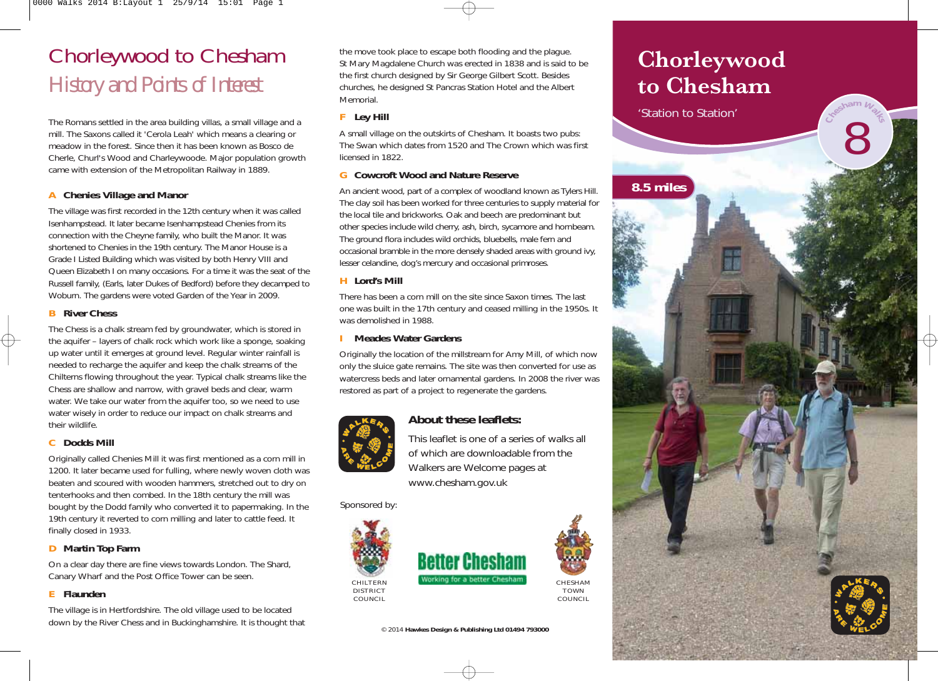## Chorleywood to Chesham *History and Points of Interest*

The Romans settled in the area building villas, a small village and a mill. The Saxons called it 'Cerola Leah' which means a clearing or meadow in the forest. Since then it has been known as Bosco de Cherle, Churl's Wood and Charleywoode. Major population growth came with extension of the Metropolitan Railway in 1889.

#### **A Chenies Village and Manor**

The village was first recorded in the 12th century when it was called Isenhampstead. It later became Isenhampstead Chenies from its connection with the Cheyne family, who built the Manor. It was shortened to Chenies in the 19th century. The Manor House is a Grade I Listed Building which was visited by both Henry VIII and Queen Elizabeth I on many occasions. For a time it was the seat of the Russell family, (Earls, later Dukes of Bedford) before they decamped to Woburn. The gardens were voted Garden of the Year in 2009.

#### **B River Chess**

The Chess is a chalk stream fed by groundwater, which is stored in the aquifer – layers of chalk rock which work like a sponge, soaking up water until it emerges at ground level. Regular winter rainfall is needed to recharge the aquifer and keep the chalk streams of the Chilterns flowing throughout the year. Typical chalk streams like the Chess are shallow and narrow, with gravel beds and clear, warm water. We take our water from the aquifer too, so we need to use water wisely in order to reduce our impact on chalk streams and their wildlife.

#### **C Dodds Mill**

Originally called Chenies Mill it was first mentioned as a corn mill in 1200. It later became used for fulling, where newly woven cloth was beaten and scoured with wooden hammers, stretched out to dry on tenterhooks and then combed. In the 18th century the mill was bought by the Dodd family who converted it to papermaking. In the 19th century it reverted to corn milling and later to cattle feed. It finally closed in 1933.

#### **D Martin Top Farm**

On a clear day there are fine views towards London. The Shard, Canary Wharf and the Post Office Tower can be seen.

#### **E Flaunden**

The village is in Hertfordshire. The old village used to be located down by the River Chess and in Buckinghamshire. It is thought that

the move took place to escape both flooding and the plague. St Mary Magdalene Church was erected in 1838 and is said to be the first church designed by Sir George Gilbert Scott. Besides churches, he designed St Pancras Station Hotel and the Albert Memorial.

#### **F Ley Hill**

A small village on the outskirts of Chesham. It boasts two pubs: The Swan which dates from 1520 and The Crown which was first licensed in 1822.

#### **G Cowcroft Wood and Nature Reserve**

An ancient wood, part of a complex of woodland known as Tylers Hill. The clay soil has been worked for three centuries to supply material for the local tile and brickworks. Oak and beech are predominant but other species include wild cherry, ash, birch, sycamore and hornbeam. The ground flora includes wild orchids, bluebells, male fern and occasional bramble in the more densely shaded areas with ground ivy, lesser celandine, dog's mercury and occasional primroses.

#### **H Lord's Mill**

There has been a corn mill on the site since Saxon times. The last one was built in the 17th century and ceased milling in the 1950s. It was demolished in 1988.

#### **I Meades Water Gardens**

Originally the location of the millstream for Amy Mill, of which now only the sluice gate remains. The site was then converted for use as watercress beds and later ornamental gardens. In 2008 the river was restored as part of a project to regenerate the gardens.



### **About these leaflets:**

This leaflet is one of a series of walks all of which are downloadable from the Walkers are Welcome pages at www.chesham.gov.uk

Sponsored by:





#### © 2014 **Hawkes Design & Publishing Ltd 01494 793000**

# **Chorleywood to Chesham**

'Station to Station'

**8.5 miles**



<sup>8</sup>**<sup>C</sup>hesha<sup>m</sup> <sup>W</sup><sup>a</sup><sup>l</sup>k<sup>s</sup>**